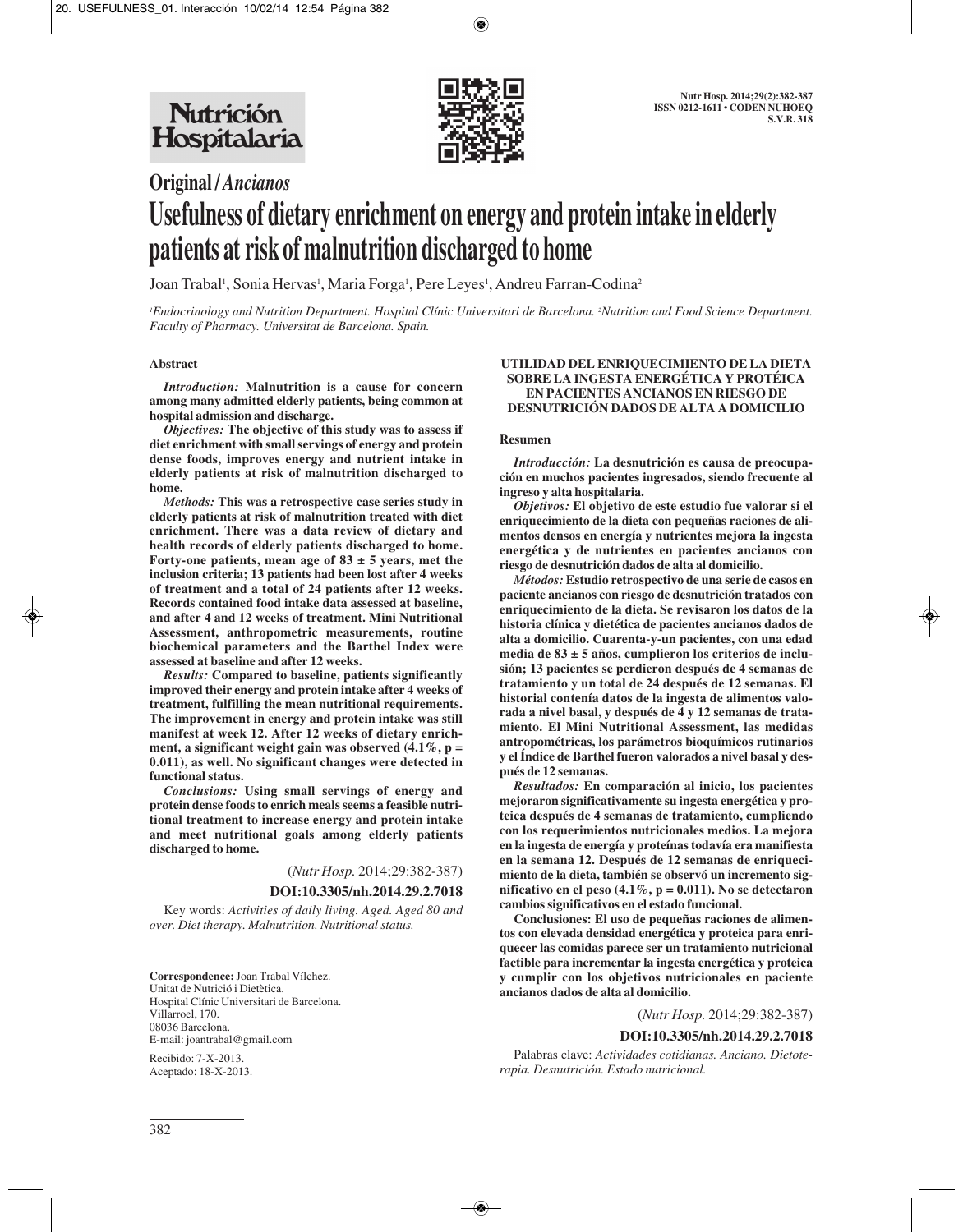

# **Original /** *Ancianos* **Usefulness of dietary enrichment on energy and protein intake in elderly patients at risk of malnutrition discharged to home**

Joan Trabal<sup>1</sup>, Sonia Hervas<sup>1</sup>, Maria Forga<sup>1</sup>, Pere Leyes<sup>1</sup>, Andreu Farran-Codina<sup>2</sup>

*1 Endocrinology and Nutrition Department. Hospital Clínic Universitari de Barcelona. 2 Nutrition and Food Science Department. Faculty of Pharmacy. Universitat de Barcelona. Spain.*

## **Abstract**

*Introduction:* **Malnutrition is a cause for concern among many admitted elderly patients, being common at hospital admission and discharge.**

*Objectives:* **The objective of this study was to assess if diet enrichment with small servings of energy and protein dense foods, improves energy and nutrient intake in elderly patients at risk of malnutrition discharged to home.**

*Methods:* **This was a retrospective case series study in elderly patients at risk of malnutrition treated with diet enrichment. There was a data review of dietary and health records of elderly patients discharged to home. Forty-one patients, mean age of 83 ± 5 years, met the inclusion criteria; 13 patients had been lost after 4 weeks of treatment and a total of 24 patients after 12 weeks. Records contained food intake data assessed at baseline, and after 4 and 12 weeks of treatment. Mini Nutritional Assessment, anthropometric measurements, routine biochemical parameters and the Barthel Index were assessed at baseline and after 12 weeks.**

*Results:* **Compared to baseline, patients significantly improved their energy and protein intake after 4 weeks of treatment, fulfilling the mean nutritional requirements. The improvement in energy and protein intake was still manifest at week 12. After 12 weeks of dietary enrichment, a significant weight gain was observed (4.1%, p = 0.011), as well. No significant changes were detected in functional status.**

*Conclusions:* **Using small servings of energy and protein dense foods to enrich meals seems a feasible nutritional treatment to increase energy and protein intake and meet nutritional goals among elderly patients discharged to home.**

(*Nutr Hosp.* 2014;29:382-387)

#### **DOI:10.3305/nh.2014.29.2.7018**

Key words: *Activities of daily living. Aged. Aged 80 and over. Diet therapy. Malnutrition. Nutritional status.*

**Correspondence:** Joan Trabal Vílchez. Unitat de Nutrició i Dietètica. Hospital Clínic Universitari de Barcelona. Villarroel, 170. 08036 Barcelona. E-mail: joantrabal@gmail.com

Recibido: 7-X-2013. Aceptado: 18-X-2013.

#### **UTILIDAD DEL ENRIQUECIMIENTO DE LA DIETA SOBRE LA INGESTA ENERGÉTICA Y PROTÉICA EN PACIENTES ANCIANOS EN RIESGO DE DESNUTRICIÓN DADOS DE ALTA A DOMICILIO**

#### **Resumen**

*Introducción:* **La desnutrición es causa de preocupación en muchos pacientes ingresados, siendo frecuente al ingreso y alta hospitalaria.**

*Objetivos:* **El objetivo de este estudio fue valorar si el enriquecimiento de la dieta con pequeñas raciones de alimentos densos en energía y nutrientes mejora la ingesta energética y de nutrientes en pacientes ancianos con riesgo de desnutrición dados de alta al domicilio.**

*Métodos:* **Estudio retrospectivo de una serie de casos en paciente ancianos con riesgo de desnutrición tratados con enriquecimiento de la dieta. Se revisaron los datos de la historia clínica y dietética de pacientes ancianos dados de alta a domicilio. Cuarenta-y-un pacientes, con una edad media de 83 ± 5 años, cumplieron los criterios de inclusión; 13 pacientes se perdieron después de 4 semanas de tratamiento y un total de 24 después de 12 semanas. El historial contenía datos de la ingesta de alimentos valorada a nivel basal, y después de 4 y 12 semanas de tratamiento. El Mini Nutritional Assessment, las medidas antropométricas, los parámetros bioquímicos rutinarios y el Índice de Barthel fueron valorados a nivel basal y después de 12 semanas.**

*Resultados:* **En comparación al inicio, los pacientes mejoraron significativamente su ingesta energética y proteica después de 4 semanas de tratamiento, cumpliendo con los requerimientos nutricionales medios. La mejora en la ingesta de energía y proteínas todavía era manifiesta en la semana 12. Después de 12 semanas de enriquecimiento de la dieta, también se observó un incremento significativo en el peso (4.1%, p = 0.011). No se detectaron cambios significativos en el estado funcional.**

**Conclusiones: El uso de pequeñas raciones de alimentos con elevada densidad energética y proteica para enriquecer las comidas parece ser un tratamiento nutricional factible para incrementar la ingesta energética y proteica y cumplir con los objetivos nutricionales en paciente ancianos dados de alta al domicilio.**

(*Nutr Hosp.* 2014;29:382-387)

#### **DOI:10.3305/nh.2014.29.2.7018**

Palabras clave: *Actividades cotidianas. Anciano. Dietoterapia. Desnutrición. Estado nutricional.*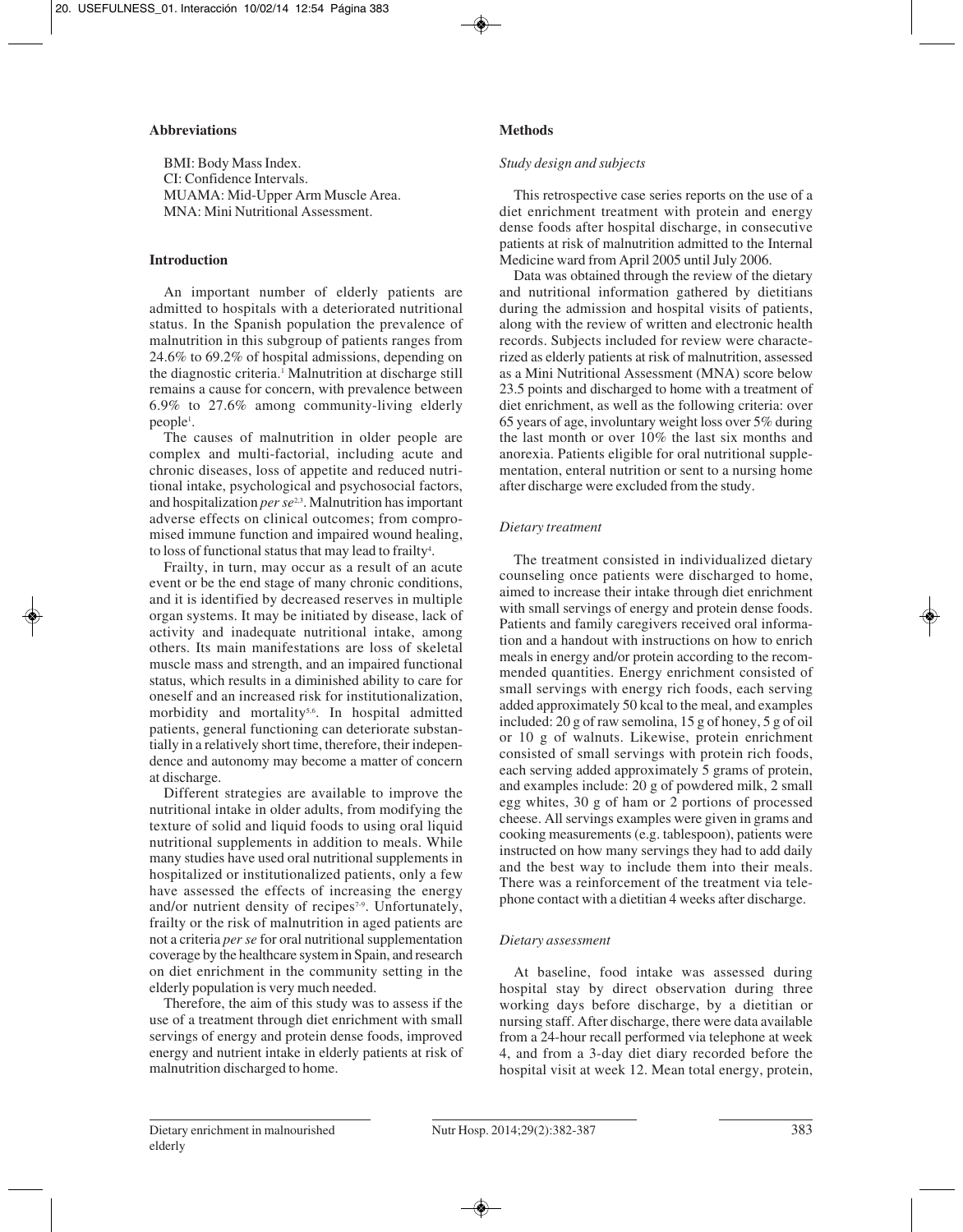# **Abbreviations**

BMI: Body Mass Index. CI: Confidence Intervals. MUAMA: Mid-Upper Arm Muscle Area. MNA: Mini Nutritional Assessment.

# **Introduction**

An important number of elderly patients are admitted to hospitals with a deteriorated nutritional status. In the Spanish population the prevalence of malnutrition in this subgroup of patients ranges from 24.6% to 69.2% of hospital admissions, depending on the diagnostic criteria.<sup>1</sup> Malnutrition at discharge still remains a cause for concern, with prevalence between 6.9% to 27.6% among community-living elderly people<sup>1</sup>.

The causes of malnutrition in older people are complex and multi-factorial, including acute and chronic diseases, loss of appetite and reduced nutritional intake, psychological and psychosocial factors, and hospitalization *per se*2,3. Malnutrition has important adverse effects on clinical outcomes; from compromised immune function and impaired wound healing, to loss of functional status that may lead to frailty<sup>4</sup>.

Frailty, in turn, may occur as a result of an acute event or be the end stage of many chronic conditions, and it is identified by decreased reserves in multiple organ systems. It may be initiated by disease, lack of activity and inadequate nutritional intake, among others. Its main manifestations are loss of skeletal muscle mass and strength, and an impaired functional status, which results in a diminished ability to care for oneself and an increased risk for institutionalization, morbidity and mortality<sup>5,6</sup>. In hospital admitted patients, general functioning can deteriorate substantially in a relatively short time, therefore, their independence and autonomy may become a matter of concern at discharge.

Different strategies are available to improve the nutritional intake in older adults, from modifying the texture of solid and liquid foods to using oral liquid nutritional supplements in addition to meals. While many studies have used oral nutritional supplements in hospitalized or institutionalized patients, only a few have assessed the effects of increasing the energy and/or nutrient density of recipes<sup>7-9</sup>. Unfortunately, frailty or the risk of malnutrition in aged patients are not a criteria *per se* for oral nutritional supplementation coverage by the healthcare system in Spain, and research on diet enrichment in the community setting in the elderly population is very much needed.

Therefore, the aim of this study was to assess if the use of a treatment through diet enrichment with small servings of energy and protein dense foods, improved energy and nutrient intake in elderly patients at risk of malnutrition discharged to home.

# **Methods**

## *Study design and subjects*

This retrospective case series reports on the use of a diet enrichment treatment with protein and energy dense foods after hospital discharge, in consecutive patients at risk of malnutrition admitted to the Internal Medicine ward from April 2005 until July 2006.

Data was obtained through the review of the dietary and nutritional information gathered by dietitians during the admission and hospital visits of patients, along with the review of written and electronic health records. Subjects included for review were characterized as elderly patients at risk of malnutrition, assessed as a Mini Nutritional Assessment (MNA) score below 23.5 points and discharged to home with a treatment of diet enrichment, as well as the following criteria: over 65 years of age, involuntary weight loss over 5% during the last month or over 10% the last six months and anorexia. Patients eligible for oral nutritional supplementation, enteral nutrition or sent to a nursing home after discharge were excluded from the study.

# *Dietary treatment*

The treatment consisted in individualized dietary counseling once patients were discharged to home, aimed to increase their intake through diet enrichment with small servings of energy and protein dense foods. Patients and family caregivers received oral information and a handout with instructions on how to enrich meals in energy and/or protein according to the recommended quantities. Energy enrichment consisted of small servings with energy rich foods, each serving added approximately 50 kcal to the meal, and examples included: 20 g of raw semolina, 15 g of honey, 5 g of oil or 10 g of walnuts. Likewise, protein enrichment consisted of small servings with protein rich foods, each serving added approximately 5 grams of protein, and examples include: 20 g of powdered milk, 2 small egg whites, 30 g of ham or 2 portions of processed cheese. All servings examples were given in grams and cooking measurements (e.g. tablespoon), patients were instructed on how many servings they had to add daily and the best way to include them into their meals. There was a reinforcement of the treatment via telephone contact with a dietitian 4 weeks after discharge.

# *Dietary assessment*

At baseline, food intake was assessed during hospital stay by direct observation during three working days before discharge, by a dietitian or nursing staff. After discharge, there were data available from a 24-hour recall performed via telephone at week 4, and from a 3-day diet diary recorded before the hospital visit at week 12. Mean total energy, protein,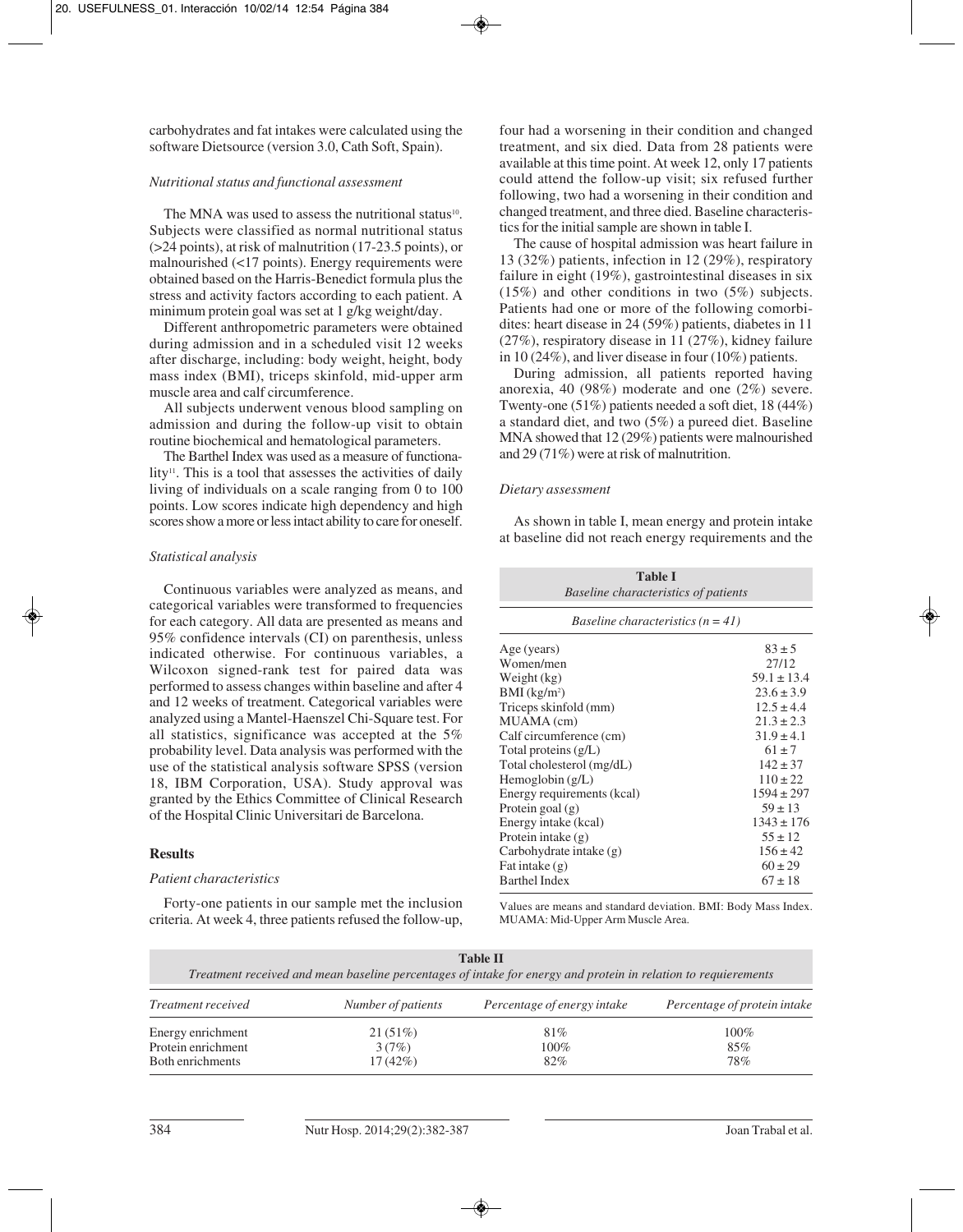carbohydrates and fat intakes were calculated using the software Dietsource (version 3.0, Cath Soft, Spain).

## *Nutritional status and functional assessment*

The MNA was used to assess the nutritional status<sup>10</sup>. Subjects were classified as normal nutritional status (>24 points), at risk of malnutrition (17-23.5 points), or malnourished (<17 points). Energy requirements were obtained based on the Harris-Benedict formula plus the stress and activity factors according to each patient. A minimum protein goal was set at 1 g/kg weight/day.

Different anthropometric parameters were obtained during admission and in a scheduled visit 12 weeks after discharge, including: body weight, height, body mass index (BMI), triceps skinfold, mid-upper arm muscle area and calf circumference.

All subjects underwent venous blood sampling on admission and during the follow-up visit to obtain routine biochemical and hematological parameters.

The Barthel Index was used as a measure of functionality $\mathbf{u}$ . This is a tool that assesses the activities of daily living of individuals on a scale ranging from 0 to 100 points. Low scores indicate high dependency and high scores show a more or less intact ability to care for oneself.

## *Statistical analysis*

Continuous variables were analyzed as means, and categorical variables were transformed to frequencies for each category. All data are presented as means and 95% confidence intervals (CI) on parenthesis, unless indicated otherwise. For continuous variables, a Wilcoxon signed-rank test for paired data was performed to assess changes within baseline and after 4 and 12 weeks of treatment. Categorical variables were analyzed using a Mantel-Haenszel Chi-Square test. For all statistics, significance was accepted at the 5% probability level. Data analysis was performed with the use of the statistical analysis software SPSS (version 18, IBM Corporation, USA). Study approval was granted by the Ethics Committee of Clinical Research of the Hospital Clinic Universitari de Barcelona.

## **Results**

## *Patient characteristics*

Forty-one patients in our sample met the inclusion criteria. At week 4, three patients refused the follow-up, four had a worsening in their condition and changed treatment, and six died. Data from 28 patients were available at this time point. At week 12, only 17 patients could attend the follow-up visit; six refused further following, two had a worsening in their condition and changed treatment, and three died. Baseline characteristics for the initial sample are shown in table I.

The cause of hospital admission was heart failure in 13 (32%) patients, infection in 12 (29%), respiratory failure in eight (19%), gastrointestinal diseases in six (15%) and other conditions in two (5%) subjects. Patients had one or more of the following comorbidites: heart disease in 24 (59%) patients, diabetes in 11 (27%), respiratory disease in 11 (27%), kidney failure in 10 (24%), and liver disease in four (10%) patients.

During admission, all patients reported having anorexia, 40 (98%) moderate and one (2%) severe. Twenty-one (51%) patients needed a soft diet, 18 (44%) a standard diet, and two (5%) a pureed diet. Baseline MNA showed that 12 (29%) patients were malnourished and 29 (71%) were at risk of malnutrition.

#### *Dietary assessment*

As shown in table I, mean energy and protein intake at baseline did not reach energy requirements and the

| Table I<br><b>Baseline characteristics of patients</b> |                 |  |  |  |
|--------------------------------------------------------|-----------------|--|--|--|
| <i>Baseline characteristics</i> $(n = 41)$             |                 |  |  |  |
| Age (years)                                            | $83 \pm 5$      |  |  |  |
| Women/men                                              | 27/12           |  |  |  |
| Weight $(kg)$                                          | $59.1 \pm 13.4$ |  |  |  |
| $BMI$ (kg/m <sup>2</sup> )                             | $23.6 \pm 3.9$  |  |  |  |
| Triceps skinfold (mm)                                  | $12.5 \pm 4.4$  |  |  |  |
| MUAMA (cm)                                             | $21.3 \pm 2.3$  |  |  |  |
| Calf circumference (cm)                                | $31.9 \pm 4.1$  |  |  |  |
| Total proteins $(g/L)$                                 | $61 \pm 7$      |  |  |  |
| Total cholesterol (mg/dL)                              | $142 \pm 37$    |  |  |  |
| Hemoglobin $(g/L)$                                     | $110 \pm 22$    |  |  |  |
| Energy requirements (kcal)                             | $1594 \pm 297$  |  |  |  |
| Protein goal $(g)$                                     | $59 \pm 13$     |  |  |  |
| Energy intake (kcal)                                   | $1343 \pm 176$  |  |  |  |
| Protein intake $(g)$                                   | $55 \pm 12$     |  |  |  |
| Carbohydrate intake (g)                                | $156 \pm 42$    |  |  |  |
| Fat intake $(g)$                                       | $60 \pm 29$     |  |  |  |
| <b>Barthel Index</b>                                   | $67 \pm 18$     |  |  |  |

Values are means and standard deviation. BMI: Body Mass Index. MUAMA: Mid-Upper Arm Muscle Area.

| <b>Table II</b><br>Treatment received and mean baseline percentages of intake for energy and protein in relation to requierements |                     |                             |                              |  |  |  |
|-----------------------------------------------------------------------------------------------------------------------------------|---------------------|-----------------------------|------------------------------|--|--|--|
| Treatment received                                                                                                                | Number of patients  | Percentage of energy intake | Percentage of protein intake |  |  |  |
| Energy enrichment<br>Protein enrichment                                                                                           | $21(51\%)$<br>3(7%) | 81%<br>100%                 | $100\%$<br>85%               |  |  |  |
| Both enrichments                                                                                                                  | $17(42\%)$          | 82%                         | 78%                          |  |  |  |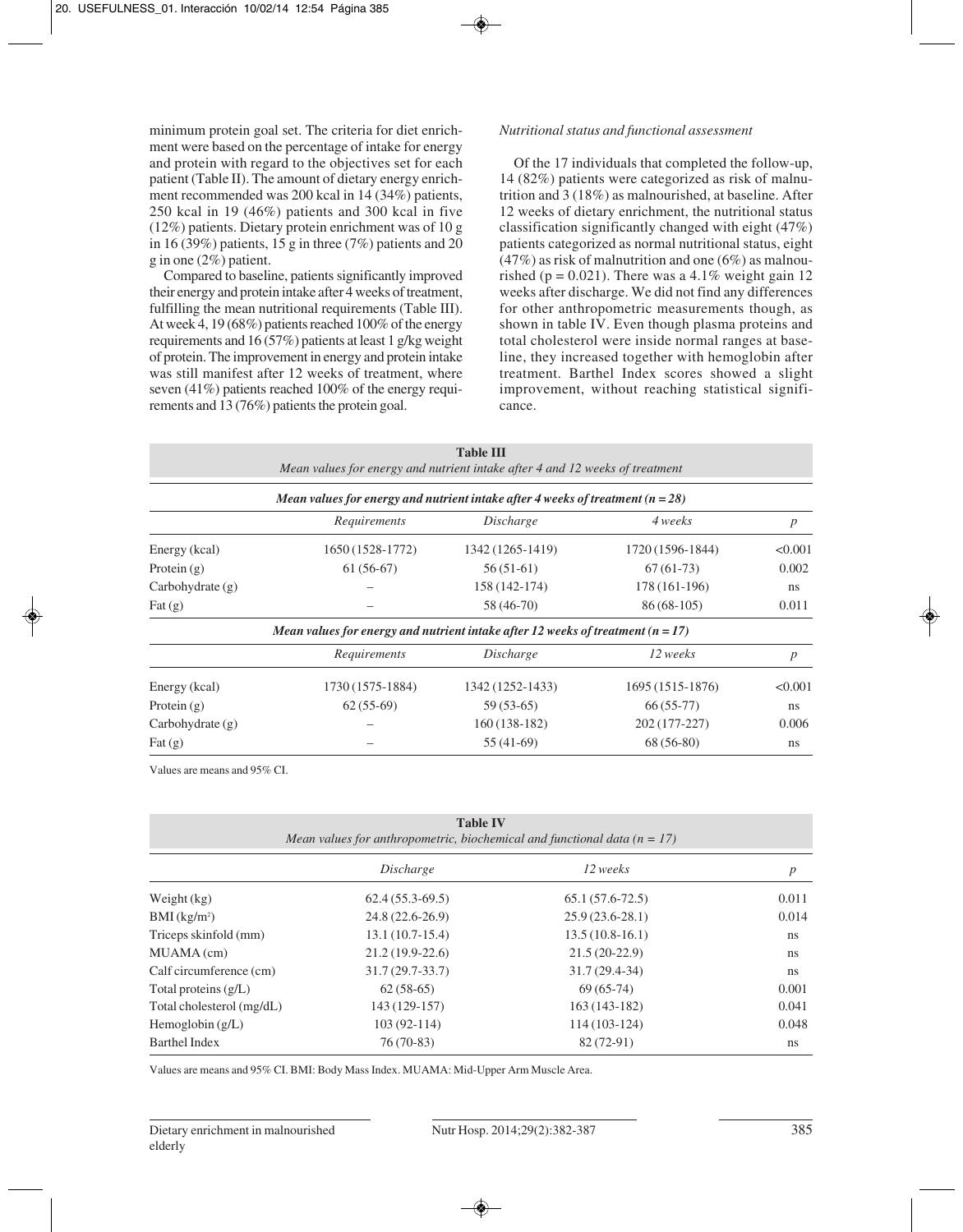minimum protein goal set. The criteria for diet enrichment were based on the percentage of intake for energy and protein with regard to the objectives set for each patient (Table II). The amount of dietary energy enrichment recommended was 200 kcal in 14 (34%) patients, 250 kcal in 19 (46%) patients and 300 kcal in five (12%) patients. Dietary protein enrichment was of 10 g in 16 (39%) patients,  $15 \text{ g}$  in three (7%) patients and 20 g in one (2%) patient.

Compared to baseline, patients significantly improved their energy and protein intake after 4 weeks of treatment, fulfilling the mean nutritional requirements (Table III). At week 4, 19 (68%) patients reached 100% of the energy requirements and 16 (57%) patients at least 1 g/kg weight of protein. The improvement in energy and protein intake was still manifest after 12 weeks of treatment, where seven (41%) patients reached 100% of the energy requirements and 13 (76%) patients the protein goal.

## *Nutritional status and functional assessment*

Of the 17 individuals that completed the follow-up, 14 (82%) patients were categorized as risk of malnutrition and 3 (18%) as malnourished, at baseline. After 12 weeks of dietary enrichment, the nutritional status classification significantly changed with eight (47%) patients categorized as normal nutritional status, eight  $(47%)$  as risk of malnutrition and one  $(6%)$  as malnourished (p = 0.021). There was a 4.1% weight gain 12 weeks after discharge. We did not find any differences for other anthropometric measurements though, as shown in table IV. Even though plasma proteins and total cholesterol were inside normal ranges at baseline, they increased together with hemoglobin after treatment. Barthel Index scores showed a slight improvement, without reaching statistical significance.

| <b>Table III</b><br>Mean values for energy and nutrient intake after 4 and 12 weeks of treatment<br>Mean values for energy and nutrient intake after 4 weeks of treatment ( $n = 28$ ) |                                                                                   |                  |                  |                  |  |  |
|----------------------------------------------------------------------------------------------------------------------------------------------------------------------------------------|-----------------------------------------------------------------------------------|------------------|------------------|------------------|--|--|
|                                                                                                                                                                                        |                                                                                   |                  |                  |                  |  |  |
| Energy (kcal)                                                                                                                                                                          | 1650 (1528-1772)                                                                  | 1342 (1265-1419) | 1720 (1596-1844) | < 0.001          |  |  |
| Protein $(g)$                                                                                                                                                                          | $61(56-67)$                                                                       | $56(51-61)$      | $67(61-73)$      | 0.002            |  |  |
| Carbohydrate(g)                                                                                                                                                                        |                                                                                   | 158 (142-174)    | 178 (161-196)    | ns               |  |  |
| $\text{Fat}\left(\text{g}\right)$                                                                                                                                                      |                                                                                   | 58 (46-70)       | $86(68-105)$     | 0.011            |  |  |
|                                                                                                                                                                                        | Mean values for energy and nutrient intake after 12 weeks of treatment $(n = 17)$ |                  |                  |                  |  |  |
|                                                                                                                                                                                        | Requirements                                                                      | Discharge        | 12 weeks         | $\boldsymbol{p}$ |  |  |
| Energy (kcal)                                                                                                                                                                          | 1730 (1575-1884)                                                                  | 1342 (1252-1433) | 1695 (1515-1876) | < 0.001          |  |  |
| Protein $(g)$                                                                                                                                                                          | $62(55-69)$                                                                       | $59(53-65)$      | $66(55-77)$      | <sub>ns</sub>    |  |  |
| Carbohydrate $(g)$                                                                                                                                                                     |                                                                                   | $160(138-182)$   | 202 (177-227)    | 0.006            |  |  |
| $\text{Fat}\left(\text{g}\right)$                                                                                                                                                      |                                                                                   | $55(41-69)$      | $68(56-80)$      | ns.              |  |  |

Values are means and 95% CI.

| <b>Table IV</b><br>Mean values for anthropometric, biochemical and functional data ( $n = 17$ ) |                   |                   |                  |  |  |
|-------------------------------------------------------------------------------------------------|-------------------|-------------------|------------------|--|--|
|                                                                                                 | Discharge         | 12 weeks          | $\boldsymbol{p}$ |  |  |
| Weight (kg)                                                                                     | $62.4(55.3-69.5)$ | $65.1(57.6-72.5)$ | 0.011            |  |  |
| $BMI$ (kg/m <sup>2</sup> )                                                                      | $24.8(22.6-26.9)$ | $25.9(23.6-28.1)$ | 0.014            |  |  |
| Triceps skinfold (mm)                                                                           | $13.1(10.7-15.4)$ | $13.5(10.8-16.1)$ | <sub>ns</sub>    |  |  |
| MUAMA (cm)                                                                                      | $21.2(19.9-22.6)$ | $21.5(20-22.9)$   | <sub>ns</sub>    |  |  |
| Calf circumference (cm)                                                                         | $31.7(29.7-33.7)$ | $31.7(29.4-34)$   | ns               |  |  |
| Total proteins $(g/L)$                                                                          | $62(58-65)$       | $69(65-74)$       | 0.001            |  |  |
| Total cholesterol (mg/dL)                                                                       | 143 (129-157)     | $163(143-182)$    | 0.041            |  |  |
| Hemoglobin $(g/L)$                                                                              | $103(92-114)$     | $114(103-124)$    | 0.048            |  |  |
| <b>Barthel Index</b>                                                                            | $76(70-83)$       | 82 (72-91)        | ns.              |  |  |

Values are means and 95% CI. BMI: Body Mass Index. MUAMA: Mid-Upper Arm Muscle Area.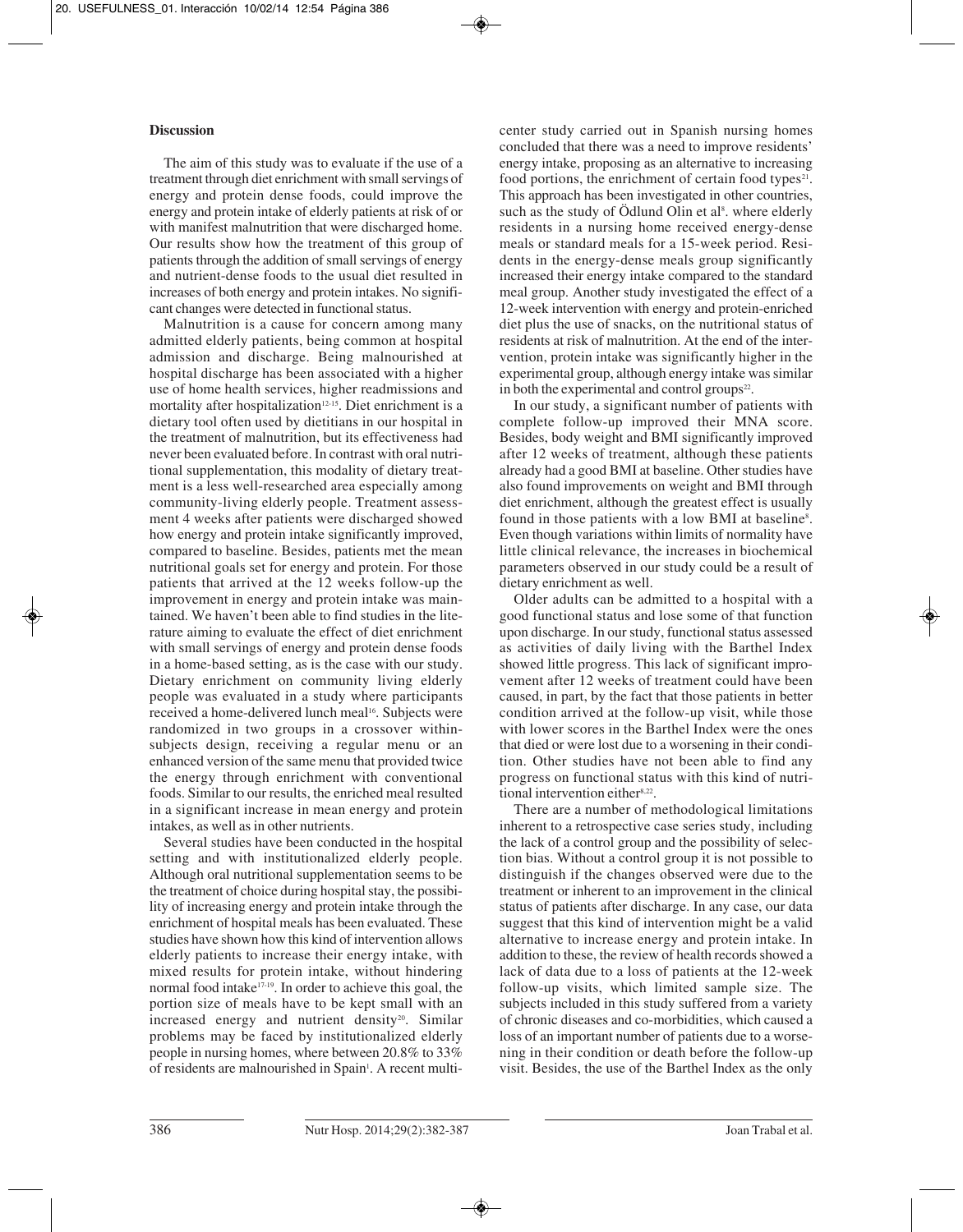# **Discussion**

The aim of this study was to evaluate if the use of a treatment through diet enrichment with small servings of energy and protein dense foods, could improve the energy and protein intake of elderly patients at risk of or with manifest malnutrition that were discharged home. Our results show how the treatment of this group of patients through the addition of small servings of energy and nutrient-dense foods to the usual diet resulted in increases of both energy and protein intakes. No significant changes were detected in functional status.

Malnutrition is a cause for concern among many admitted elderly patients, being common at hospital admission and discharge. Being malnourished at hospital discharge has been associated with a higher use of home health services, higher readmissions and mortality after hospitalization<sup>12-15</sup>. Diet enrichment is a dietary tool often used by dietitians in our hospital in the treatment of malnutrition, but its effectiveness had never been evaluated before. In contrast with oral nutritional supplementation, this modality of dietary treatment is a less well-researched area especially among community-living elderly people. Treatment assessment 4 weeks after patients were discharged showed how energy and protein intake significantly improved, compared to baseline. Besides, patients met the mean nutritional goals set for energy and protein. For those patients that arrived at the 12 weeks follow-up the improvement in energy and protein intake was maintained. We haven't been able to find studies in the literature aiming to evaluate the effect of diet enrichment with small servings of energy and protein dense foods in a home-based setting, as is the case with our study. Dietary enrichment on community living elderly people was evaluated in a study where participants received a home-delivered lunch meal<sup>16</sup>. Subjects were randomized in two groups in a crossover withinsubjects design, receiving a regular menu or an enhanced version of the same menu that provided twice the energy through enrichment with conventional foods. Similar to our results, the enriched meal resulted in a significant increase in mean energy and protein intakes, as well as in other nutrients.

Several studies have been conducted in the hospital setting and with institutionalized elderly people. Although oral nutritional supplementation seems to be the treatment of choice during hospital stay, the possibility of increasing energy and protein intake through the enrichment of hospital meals has been evaluated. These studies have shown how this kind of intervention allows elderly patients to increase their energy intake, with mixed results for protein intake, without hindering normal food intake17-19. In order to achieve this goal, the portion size of meals have to be kept small with an increased energy and nutrient density<sup>20</sup>. Similar problems may be faced by institutionalized elderly people in nursing homes, where between 20.8% to 33% of residents are malnourished in Spain<sup>1</sup>. A recent multicenter study carried out in Spanish nursing homes concluded that there was a need to improve residents' energy intake, proposing as an alternative to increasing food portions, the enrichment of certain food types<sup>21</sup>. This approach has been investigated in other countries, such as the study of Odlund Olin et al<sup>8</sup>, where elderly residents in a nursing home received energy-dense meals or standard meals for a 15-week period. Residents in the energy-dense meals group significantly increased their energy intake compared to the standard meal group. Another study investigated the effect of a 12-week intervention with energy and protein-enriched diet plus the use of snacks, on the nutritional status of residents at risk of malnutrition. At the end of the intervention, protein intake was significantly higher in the experimental group, although energy intake was similar in both the experimental and control groups $22$ .

In our study, a significant number of patients with complete follow-up improved their MNA score. Besides, body weight and BMI significantly improved after 12 weeks of treatment, although these patients already had a good BMI at baseline. Other studies have also found improvements on weight and BMI through diet enrichment, although the greatest effect is usually found in those patients with a low BMI at baseline<sup>8</sup>. Even though variations within limits of normality have little clinical relevance, the increases in biochemical parameters observed in our study could be a result of dietary enrichment as well.

Older adults can be admitted to a hospital with a good functional status and lose some of that function upon discharge. In our study, functional status assessed as activities of daily living with the Barthel Index showed little progress. This lack of significant improvement after 12 weeks of treatment could have been caused, in part, by the fact that those patients in better condition arrived at the follow-up visit, while those with lower scores in the Barthel Index were the ones that died or were lost due to a worsening in their condition. Other studies have not been able to find any progress on functional status with this kind of nutritional intervention either<sup>8,22</sup>.

There are a number of methodological limitations inherent to a retrospective case series study, including the lack of a control group and the possibility of selection bias. Without a control group it is not possible to distinguish if the changes observed were due to the treatment or inherent to an improvement in the clinical status of patients after discharge. In any case, our data suggest that this kind of intervention might be a valid alternative to increase energy and protein intake. In addition to these, the review of health records showed a lack of data due to a loss of patients at the 12-week follow-up visits, which limited sample size. The subjects included in this study suffered from a variety of chronic diseases and co-morbidities, which caused a loss of an important number of patients due to a worsening in their condition or death before the follow-up visit. Besides, the use of the Barthel Index as the only